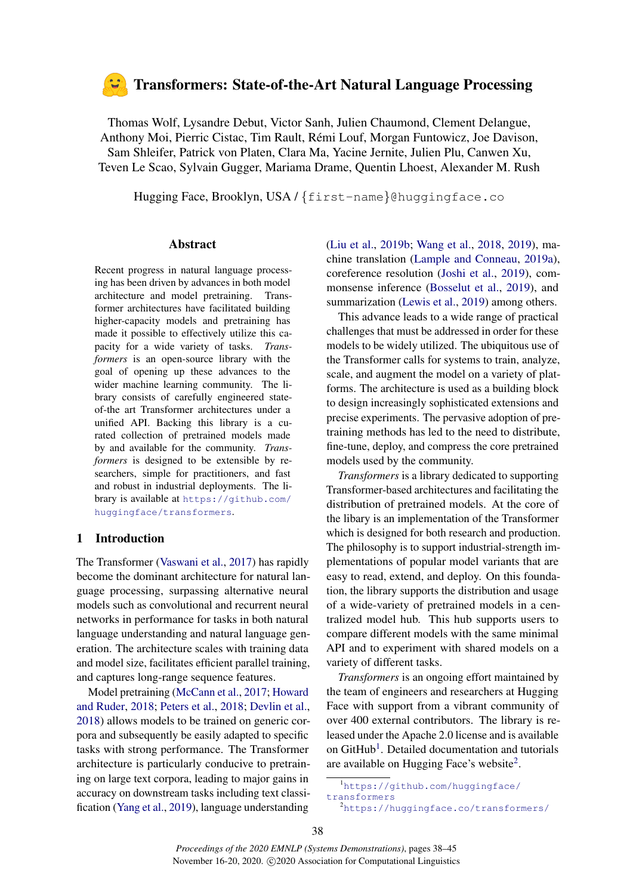

Thomas Wolf, Lysandre Debut, Victor Sanh, Julien Chaumond, Clement Delangue, Anthony Moi, Pierric Cistac, Tim Rault, Remi Louf, Morgan Funtowicz, Joe Davison, ´ Sam Shleifer, Patrick von Platen, Clara Ma, Yacine Jernite, Julien Plu, Canwen Xu, Teven Le Scao, Sylvain Gugger, Mariama Drame, Quentin Lhoest, Alexander M. Rush

Hugging Face, Brooklyn, USA / {first-name}@huggingface.co

# Abstract

Recent progress in natural language processing has been driven by advances in both model architecture and model pretraining. Transformer architectures have facilitated building higher-capacity models and pretraining has made it possible to effectively utilize this capacity for a wide variety of tasks. *Transformers* is an open-source library with the goal of opening up these advances to the wider machine learning community. The library consists of carefully engineered stateof-the art Transformer architectures under a unified API. Backing this library is a curated collection of pretrained models made by and available for the community. *Transformers* is designed to be extensible by researchers, simple for practitioners, and fast and robust in industrial deployments. The library is available at [https://github.com/](https://github.com/huggingface/transformers) [huggingface/transformers](https://github.com/huggingface/transformers).

# 1 Introduction

The Transformer [\(Vaswani et al.,](#page-7-0) [2017\)](#page-7-0) has rapidly become the dominant architecture for natural language processing, surpassing alternative neural models such as convolutional and recurrent neural networks in performance for tasks in both natural language understanding and natural language generation. The architecture scales with training data and model size, facilitates efficient parallel training, and captures long-range sequence features.

Model pretraining [\(McCann et al.,](#page-7-1) [2017;](#page-7-1) [Howard](#page-6-0) [and Ruder,](#page-6-0) [2018;](#page-6-0) [Peters et al.,](#page-7-2) [2018;](#page-7-2) [Devlin et al.,](#page-6-1) [2018\)](#page-6-1) allows models to be trained on generic corpora and subsequently be easily adapted to specific tasks with strong performance. The Transformer architecture is particularly conducive to pretraining on large text corpora, leading to major gains in accuracy on downstream tasks including text classification [\(Yang et al.,](#page-7-3) [2019\)](#page-7-3), language understanding

[\(Liu et al.,](#page-7-4) [2019b;](#page-7-4) [Wang et al.,](#page-7-5) [2018,](#page-7-5) [2019\)](#page-7-6), machine translation [\(Lample and Conneau,](#page-6-2) [2019a\)](#page-6-2), coreference resolution [\(Joshi et al.,](#page-6-3) [2019\)](#page-6-3), commonsense inference [\(Bosselut et al.,](#page-6-4) [2019\)](#page-6-4), and summarization [\(Lewis et al.,](#page-7-7) [2019\)](#page-7-7) among others.

This advance leads to a wide range of practical challenges that must be addressed in order for these models to be widely utilized. The ubiquitous use of the Transformer calls for systems to train, analyze, scale, and augment the model on a variety of platforms. The architecture is used as a building block to design increasingly sophisticated extensions and precise experiments. The pervasive adoption of pretraining methods has led to the need to distribute, fine-tune, deploy, and compress the core pretrained models used by the community.

*Transformers* is a library dedicated to supporting Transformer-based architectures and facilitating the distribution of pretrained models. At the core of the libary is an implementation of the Transformer which is designed for both research and production. The philosophy is to support industrial-strength implementations of popular model variants that are easy to read, extend, and deploy. On this foundation, the library supports the distribution and usage of a wide-variety of pretrained models in a centralized model hub. This hub supports users to compare different models with the same minimal API and to experiment with shared models on a variety of different tasks.

*Transformers* is an ongoing effort maintained by the team of engineers and researchers at Hugging Face with support from a vibrant community of over 400 external contributors. The library is released under the Apache 2.0 license and is available on GitHub<sup>[1](#page-0-0)</sup>. Detailed documentation and tutorials are available on Hugging Face's website<sup>[2](#page-0-1)</sup>.

<span id="page-0-0"></span><sup>1</sup>[https://github.com/huggingface/](https://github.com/huggingface/transformers) [transformers](https://github.com/huggingface/transformers)

<span id="page-0-1"></span><sup>2</sup><https://huggingface.co/transformers/>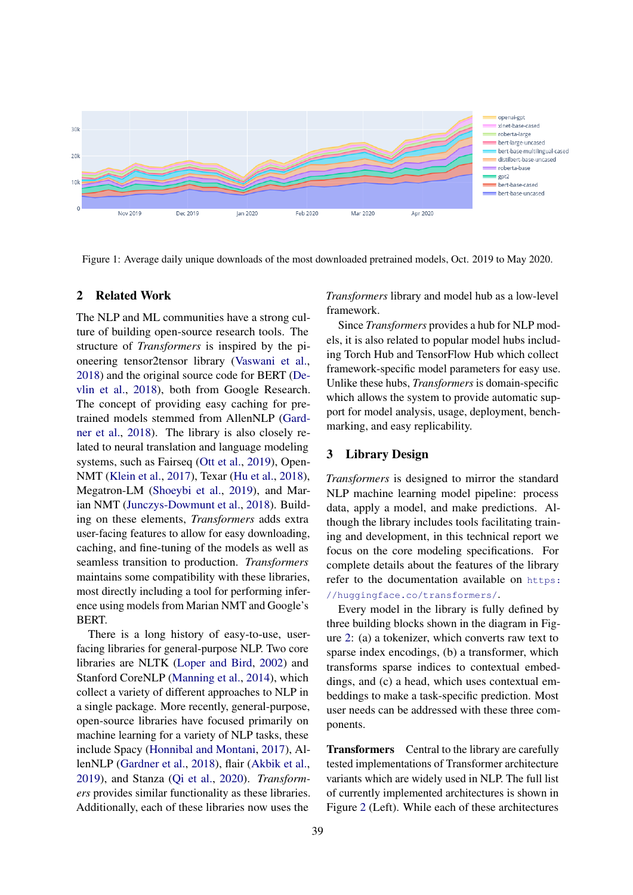<span id="page-1-0"></span>

Figure 1: Average daily unique downloads of the most downloaded pretrained models, Oct. 2019 to May 2020.

### 2 Related Work

The NLP and ML communities have a strong culture of building open-source research tools. The structure of *Transformers* is inspired by the pioneering tensor2tensor library [\(Vaswani et al.,](#page-7-8) [2018\)](#page-7-8) and the original source code for BERT [\(De](#page-6-1)[vlin et al.,](#page-6-1) [2018\)](#page-6-1), both from Google Research. The concept of providing easy caching for pretrained models stemmed from AllenNLP [\(Gard](#page-6-5)[ner et al.,](#page-6-5) [2018\)](#page-6-5). The library is also closely related to neural translation and language modeling systems, such as Fairseq [\(Ott et al.,](#page-7-9) [2019\)](#page-7-9), Open-NMT [\(Klein et al.,](#page-6-6) [2017\)](#page-6-6), Texar [\(Hu et al.,](#page-6-7) [2018\)](#page-6-7), Megatron-LM [\(Shoeybi et al.,](#page-7-10) [2019\)](#page-7-10), and Marian NMT [\(Junczys-Dowmunt et al.,](#page-6-8) [2018\)](#page-6-8). Building on these elements, *Transformers* adds extra user-facing features to allow for easy downloading, caching, and fine-tuning of the models as well as seamless transition to production. *Transformers* maintains some compatibility with these libraries, most directly including a tool for performing inference using models from Marian NMT and Google's BERT.

There is a long history of easy-to-use, userfacing libraries for general-purpose NLP. Two core libraries are NLTK [\(Loper and Bird,](#page-7-11) [2002\)](#page-7-11) and Stanford CoreNLP [\(Manning et al.,](#page-7-12) [2014\)](#page-7-12), which collect a variety of different approaches to NLP in a single package. More recently, general-purpose, open-source libraries have focused primarily on machine learning for a variety of NLP tasks, these include Spacy [\(Honnibal and Montani,](#page-6-9) [2017\)](#page-6-9), AllenNLP [\(Gardner et al.,](#page-6-5) [2018\)](#page-6-5), flair [\(Akbik et al.,](#page-6-10) [2019\)](#page-6-10), and Stanza [\(Qi et al.,](#page-7-13) [2020\)](#page-7-13). *Transformers* provides similar functionality as these libraries. Additionally, each of these libraries now uses the

*Transformers* library and model hub as a low-level framework.

Since *Transformers* provides a hub for NLP models, it is also related to popular model hubs including Torch Hub and TensorFlow Hub which collect framework-specific model parameters for easy use. Unlike these hubs, *Transformers* is domain-specific which allows the system to provide automatic support for model analysis, usage, deployment, benchmarking, and easy replicability.

### 3 Library Design

*Transformers* is designed to mirror the standard NLP machine learning model pipeline: process data, apply a model, and make predictions. Although the library includes tools facilitating training and development, in this technical report we focus on the core modeling specifications. For complete details about the features of the library refer to the documentation available on [https:](https://huggingface.co/transformers/) [//huggingface.co/transformers/](https://huggingface.co/transformers/).

Every model in the library is fully defined by three building blocks shown in the diagram in Figure [2:](#page-2-0) (a) a tokenizer, which converts raw text to sparse index encodings, (b) a transformer, which transforms sparse indices to contextual embeddings, and (c) a head, which uses contextual embeddings to make a task-specific prediction. Most user needs can be addressed with these three components.

Transformers Central to the library are carefully tested implementations of Transformer architecture variants which are widely used in NLP. The full list of currently implemented architectures is shown in Figure [2](#page-2-0) (Left). While each of these architectures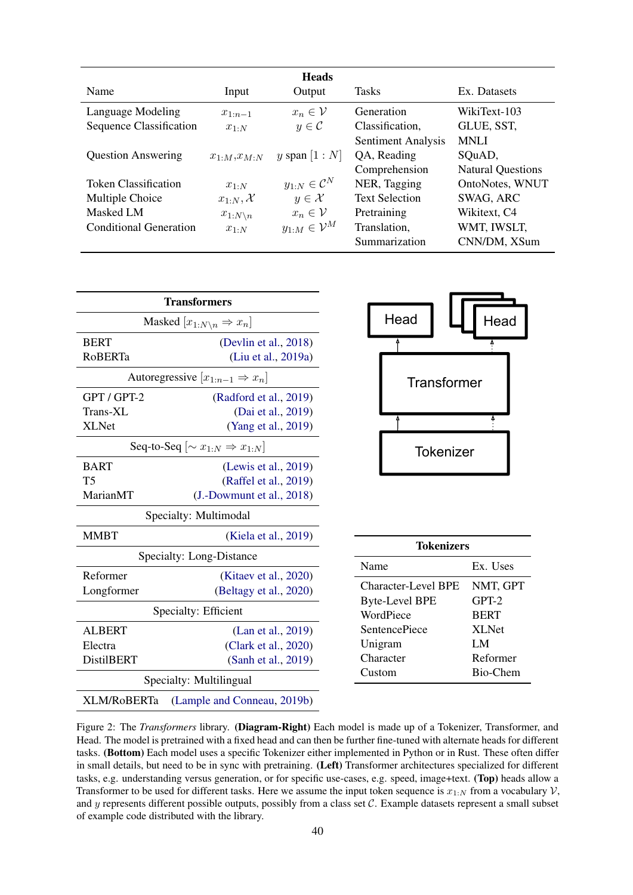<span id="page-2-0"></span>

|                             |                        | <b>Heads</b>                |                           |                          |
|-----------------------------|------------------------|-----------------------------|---------------------------|--------------------------|
| Name                        | Input                  | Output                      | <b>Tasks</b>              | Ex. Datasets             |
| Language Modeling           | $x_{1:n-1}$            | $x_n \in \mathcal{V}$       | Generation                | WikiText-103             |
| Sequence Classification     | $x_{1:N}$              | $y \in \mathcal{C}$         | Classification.           | GLUE, SST,               |
|                             |                        |                             | <b>Sentiment Analysis</b> | <b>MNLI</b>              |
| <b>Question Answering</b>   | $x_{1:M}$ , $x_{M:N}$  | y span $[1:N]$              | QA, Reading               | SQuAD,                   |
|                             |                        |                             | Comprehension             | <b>Natural Questions</b> |
| <b>Token Classification</b> | $x_{1:N}$              | $y_{1:N} \in \mathcal{C}^N$ | NER, Tagging              | OntoNotes, WNUT          |
| Multiple Choice             | $x_{1:N}, \mathcal{X}$ | $y \in \mathcal{X}$         | <b>Text Selection</b>     | SWAG, ARC                |
| Masked LM                   | $x_{1:N\setminus n}$   | $x_n \in \mathcal{V}$       | Pretraining               | Wikitext, C4             |
| Conditional Generation      | $x_{1:N}$              | $y_{1:M} \in \mathcal{V}^M$ | Translation,              | WMT, IWSLT,              |
|                             |                        |                             | Summarization             | CNN/DM, XSum             |

| <b>Transformers</b>                                       |                             |  |  |  |  |
|-----------------------------------------------------------|-----------------------------|--|--|--|--|
| Masked $[x_{1:N\setminus n} \Rightarrow x_n]$             |                             |  |  |  |  |
| <b>BERT</b>                                               | (Devlin et al., 2018)       |  |  |  |  |
| <b>RoBERTa</b>                                            | (Liu et al., 2019a)         |  |  |  |  |
| Autoregressive $[x_{1:n-1} \Rightarrow x_n]$              |                             |  |  |  |  |
| GPT/GPT-2                                                 | (Radford et al., 2019)      |  |  |  |  |
| Trans-XL                                                  | (Dai et al., 2019)          |  |  |  |  |
| <b>XLNet</b>                                              | (Yang et al., 2019)         |  |  |  |  |
| Seq-to-Seq $\left[\sim x_{1:N}\Rightarrow x_{1:N}\right]$ |                             |  |  |  |  |
| <b>BART</b>                                               | (Lewis et al., 2019)        |  |  |  |  |
| T <sub>5</sub>                                            | (Raffel et al., 2019)       |  |  |  |  |
| MarianMT                                                  | $(J.-Downunt et al., 2018)$ |  |  |  |  |
| Specialty: Multimodal                                     |                             |  |  |  |  |
| <b>MMBT</b>                                               | (Kiela et al., 2019)        |  |  |  |  |
| Specialty: Long-Distance                                  |                             |  |  |  |  |
| Reformer                                                  | (Kitaev et al., 2020)       |  |  |  |  |
| Longformer                                                | (Beltagy et al., 2020)      |  |  |  |  |
| Specialty: Efficient                                      |                             |  |  |  |  |
| <b>ALBERT</b>                                             | (Lan et al., 2019)          |  |  |  |  |
| Electra                                                   | (Clark et al., 2020)        |  |  |  |  |
| <b>DistilBERT</b>                                         | (Sanh et al., 2019)         |  |  |  |  |
| Specialty: Multilingual                                   |                             |  |  |  |  |
| XLM/RoBERTa<br>(Lample and Conneau, 2019b)                |                             |  |  |  |  |



| Tokenizers                 |             |  |  |  |
|----------------------------|-------------|--|--|--|
| Name                       | Ex. Uses    |  |  |  |
| <b>Character-Level BPE</b> | NMT, GPT    |  |  |  |
| <b>Byte-Level BPE</b>      | $GPT-2$     |  |  |  |
| WordPiece                  | <b>BERT</b> |  |  |  |
| <b>SentencePiece</b>       | XL Net      |  |  |  |
| Unigram                    | LM          |  |  |  |
| Character                  | Reformer    |  |  |  |
| Custom                     | Bio-Chem    |  |  |  |

Figure 2: The *Transformers* library. (Diagram-Right) Each model is made up of a Tokenizer, Transformer, and Head. The model is pretrained with a fixed head and can then be further fine-tuned with alternate heads for different tasks. (Bottom) Each model uses a specific Tokenizer either implemented in Python or in Rust. These often differ in small details, but need to be in sync with pretraining. (Left) Transformer architectures specialized for different tasks, e.g. understanding versus generation, or for specific use-cases, e.g. speed, image+text. (Top) heads allow a Transformer to be used for different tasks. Here we assume the input token sequence is  $x_{1:N}$  from a vocabulary  $V$ , and  $y$  represents different possible outputs, possibly from a class set  $C$ . Example datasets represent a small subset of example code distributed with the library.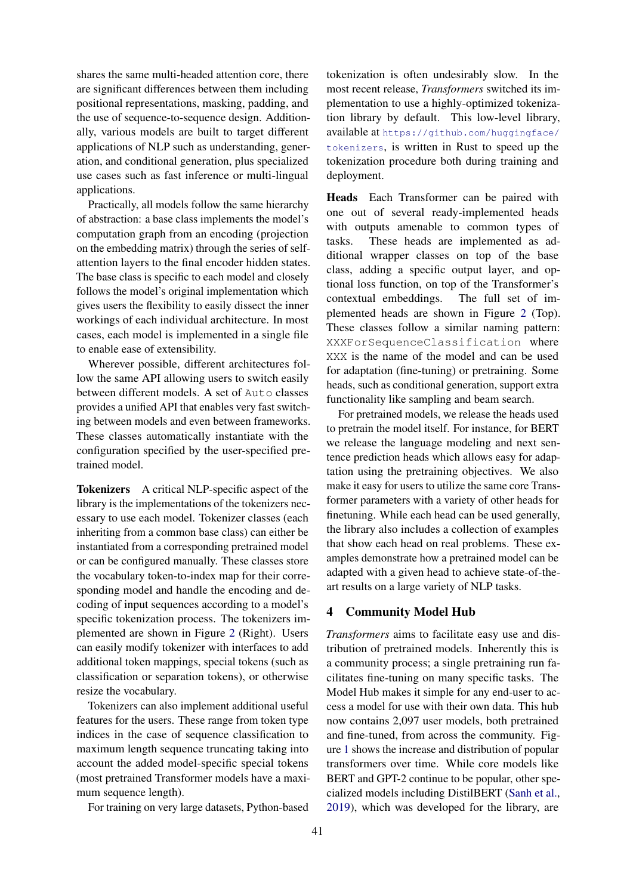shares the same multi-headed attention core, there are significant differences between them including positional representations, masking, padding, and the use of sequence-to-sequence design. Additionally, various models are built to target different applications of NLP such as understanding, generation, and conditional generation, plus specialized use cases such as fast inference or multi-lingual applications.

Practically, all models follow the same hierarchy of abstraction: a base class implements the model's computation graph from an encoding (projection on the embedding matrix) through the series of selfattention layers to the final encoder hidden states. The base class is specific to each model and closely follows the model's original implementation which gives users the flexibility to easily dissect the inner workings of each individual architecture. In most cases, each model is implemented in a single file to enable ease of extensibility.

Wherever possible, different architectures follow the same API allowing users to switch easily between different models. A set of Auto classes provides a unified API that enables very fast switching between models and even between frameworks. These classes automatically instantiate with the configuration specified by the user-specified pretrained model.

Tokenizers A critical NLP-specific aspect of the library is the implementations of the tokenizers necessary to use each model. Tokenizer classes (each inheriting from a common base class) can either be instantiated from a corresponding pretrained model or can be configured manually. These classes store the vocabulary token-to-index map for their corresponding model and handle the encoding and decoding of input sequences according to a model's specific tokenization process. The tokenizers implemented are shown in Figure [2](#page-2-0) (Right). Users can easily modify tokenizer with interfaces to add additional token mappings, special tokens (such as classification or separation tokens), or otherwise resize the vocabulary.

Tokenizers can also implement additional useful features for the users. These range from token type indices in the case of sequence classification to maximum length sequence truncating taking into account the added model-specific special tokens (most pretrained Transformer models have a maximum sequence length).

For training on very large datasets, Python-based

tokenization is often undesirably slow. In the most recent release, *Transformers* switched its implementation to use a highly-optimized tokenization library by default. This low-level library, available at [https://github.com/huggingface/](https://github.com/huggingface/tokenizers) [tokenizers](https://github.com/huggingface/tokenizers), is written in Rust to speed up the tokenization procedure both during training and deployment.

Heads Each Transformer can be paired with one out of several ready-implemented heads with outputs amenable to common types of tasks. These heads are implemented as additional wrapper classes on top of the base class, adding a specific output layer, and optional loss function, on top of the Transformer's contextual embeddings. The full set of implemented heads are shown in Figure [2](#page-2-0) (Top). These classes follow a similar naming pattern: XXXForSequenceClassification where XXX is the name of the model and can be used for adaptation (fine-tuning) or pretraining. Some heads, such as conditional generation, support extra functionality like sampling and beam search.

For pretrained models, we release the heads used to pretrain the model itself. For instance, for BERT we release the language modeling and next sentence prediction heads which allows easy for adaptation using the pretraining objectives. We also make it easy for users to utilize the same core Transformer parameters with a variety of other heads for finetuning. While each head can be used generally, the library also includes a collection of examples that show each head on real problems. These examples demonstrate how a pretrained model can be adapted with a given head to achieve state-of-theart results on a large variety of NLP tasks.

# 4 Community Model Hub

*Transformers* aims to facilitate easy use and distribution of pretrained models. Inherently this is a community process; a single pretraining run facilitates fine-tuning on many specific tasks. The Model Hub makes it simple for any end-user to access a model for use with their own data. This hub now contains 2,097 user models, both pretrained and fine-tuned, from across the community. Figure [1](#page-1-0) shows the increase and distribution of popular transformers over time. While core models like BERT and GPT-2 continue to be popular, other specialized models including DistilBERT [\(Sanh et al.,](#page-7-17) [2019\)](#page-7-17), which was developed for the library, are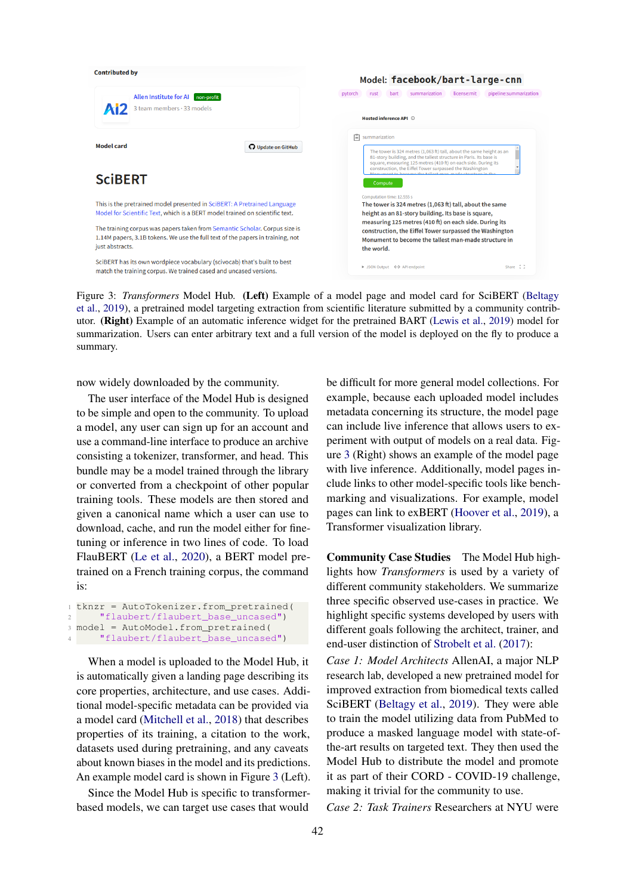<span id="page-4-0"></span>

Figure 3: *Transformers* Model Hub. (Left) Example of a model page and model card for SciBERT [\(Beltagy](#page-6-18) [et al.,](#page-6-18) [2019\)](#page-6-18), a pretrained model targeting extraction from scientific literature submitted by a community contributor. (Right) Example of an automatic inference widget for the pretrained BART [\(Lewis et al.,](#page-7-7) [2019\)](#page-7-7) model for summarization. Users can enter arbitrary text and a full version of the model is deployed on the fly to produce a summary.

now widely downloaded by the community.

The user interface of the Model Hub is designed to be simple and open to the community. To upload a model, any user can sign up for an account and use a command-line interface to produce an archive consisting a tokenizer, transformer, and head. This bundle may be a model trained through the library or converted from a checkpoint of other popular training tools. These models are then stored and given a canonical name which a user can use to download, cache, and run the model either for finetuning or inference in two lines of code. To load FlauBERT [\(Le et al.,](#page-6-19) [2020\)](#page-6-19), a BERT model pretrained on a French training corpus, the command is:

```
1 tknzr = AutoTokenizer.from_pretrained(
2 "flaubert/flaubert_base_uncased")
3 model = AutoModel.from_pretrained(
     4 "flaubert/flaubert_base_uncased")
```
When a model is uploaded to the Model Hub, it is automatically given a landing page describing its core properties, architecture, and use cases. Additional model-specific metadata can be provided via a model card [\(Mitchell et al.,](#page-7-18) [2018\)](#page-7-18) that describes properties of its training, a citation to the work, datasets used during pretraining, and any caveats about known biases in the model and its predictions. An example model card is shown in Figure [3](#page-4-0) (Left).

Since the Model Hub is specific to transformerbased models, we can target use cases that would

be difficult for more general model collections. For example, because each uploaded model includes metadata concerning its structure, the model page can include live inference that allows users to experiment with output of models on a real data. Figure [3](#page-4-0) (Right) shows an example of the model page with live inference. Additionally, model pages include links to other model-specific tools like benchmarking and visualizations. For example, model pages can link to exBERT [\(Hoover et al.,](#page-6-20) [2019\)](#page-6-20), a Transformer visualization library.

Community Case Studies The Model Hub highlights how *Transformers* is used by a variety of different community stakeholders. We summarize three specific observed use-cases in practice. We highlight specific systems developed by users with different goals following the architect, trainer, and end-user distinction of [Strobelt et al.](#page-7-19) [\(2017\)](#page-7-19):

*Case 1: Model Architects* AllenAI, a major NLP research lab, developed a new pretrained model for improved extraction from biomedical texts called SciBERT [\(Beltagy et al.,](#page-6-18) [2019\)](#page-6-18). They were able to train the model utilizing data from PubMed to produce a masked language model with state-ofthe-art results on targeted text. They then used the Model Hub to distribute the model and promote it as part of their CORD - COVID-19 challenge, making it trivial for the community to use.

*Case 2: Task Trainers* Researchers at NYU were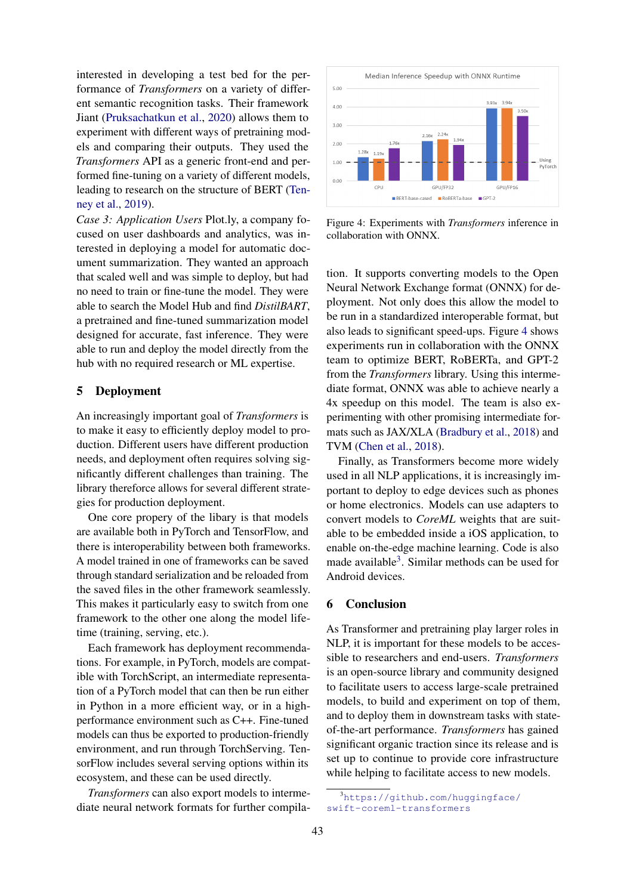interested in developing a test bed for the performance of *Transformers* on a variety of different semantic recognition tasks. Their framework Jiant [\(Pruksachatkun et al.,](#page-7-20) [2020\)](#page-7-20) allows them to experiment with different ways of pretraining models and comparing their outputs. They used the *Transformers* API as a generic front-end and performed fine-tuning on a variety of different models, leading to research on the structure of BERT [\(Ten](#page-7-21)[ney et al.,](#page-7-21) [2019\)](#page-7-21).

*Case 3: Application Users* Plot.ly, a company focused on user dashboards and analytics, was interested in deploying a model for automatic document summarization. They wanted an approach that scaled well and was simple to deploy, but had no need to train or fine-tune the model. They were able to search the Model Hub and find *DistilBART*, a pretrained and fine-tuned summarization model designed for accurate, fast inference. They were able to run and deploy the model directly from the hub with no required research or ML expertise.

# 5 Deployment

An increasingly important goal of *Transformers* is to make it easy to efficiently deploy model to production. Different users have different production needs, and deployment often requires solving significantly different challenges than training. The library thereforce allows for several different strategies for production deployment.

One core propery of the libary is that models are available both in PyTorch and TensorFlow, and there is interoperability between both frameworks. A model trained in one of frameworks can be saved through standard serialization and be reloaded from the saved files in the other framework seamlessly. This makes it particularly easy to switch from one framework to the other one along the model lifetime (training, serving, etc.).

Each framework has deployment recommendations. For example, in PyTorch, models are compatible with TorchScript, an intermediate representation of a PyTorch model that can then be run either in Python in a more efficient way, or in a highperformance environment such as C++. Fine-tuned models can thus be exported to production-friendly environment, and run through TorchServing. TensorFlow includes several serving options within its ecosystem, and these can be used directly.

*Transformers* can also export models to intermediate neural network formats for further compila-

<span id="page-5-0"></span>

Figure 4: Experiments with *Transformers* inference in collaboration with ONNX.

tion. It supports converting models to the Open Neural Network Exchange format (ONNX) for deployment. Not only does this allow the model to be run in a standardized interoperable format, but also leads to significant speed-ups. Figure [4](#page-5-0) shows experiments run in collaboration with the ONNX team to optimize BERT, RoBERTa, and GPT-2 from the *Transformers* library. Using this intermediate format, ONNX was able to achieve nearly a 4x speedup on this model. The team is also experimenting with other promising intermediate formats such as JAX/XLA [\(Bradbury et al.,](#page-6-21) [2018\)](#page-6-21) and TVM [\(Chen et al.,](#page-6-22) [2018\)](#page-6-22).

Finally, as Transformers become more widely used in all NLP applications, it is increasingly important to deploy to edge devices such as phones or home electronics. Models can use adapters to convert models to *CoreML* weights that are suitable to be embedded inside a iOS application, to enable on-the-edge machine learning. Code is also made available<sup>[3](#page-5-1)</sup>. Similar methods can be used for Android devices.

#### 6 Conclusion

As Transformer and pretraining play larger roles in NLP, it is important for these models to be accessible to researchers and end-users. *Transformers* is an open-source library and community designed to facilitate users to access large-scale pretrained models, to build and experiment on top of them, and to deploy them in downstream tasks with stateof-the-art performance. *Transformers* has gained significant organic traction since its release and is set up to continue to provide core infrastructure while helping to facilitate access to new models.

<span id="page-5-1"></span><sup>3</sup>[https://github.com/huggingface/](https://github.com/huggingface/swift-coreml-transformers) [swift-coreml-transformers](https://github.com/huggingface/swift-coreml-transformers)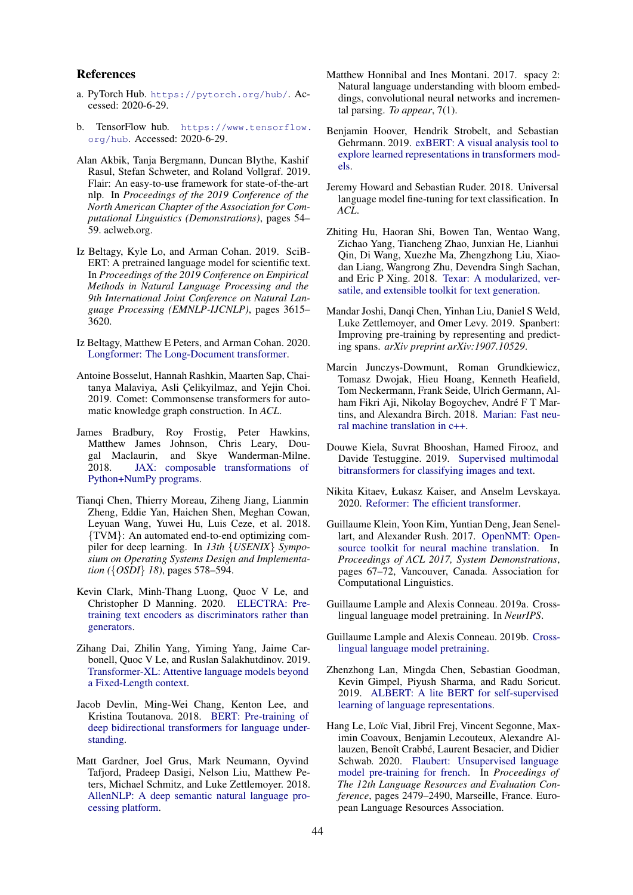#### References

- a. PyTorch Hub. <https://pytorch.org/hub/>. Accessed: 2020-6-29.
- b. TensorFlow hub. [https://www.tensorflow.](https://www.tensorflow.org/hub) [org/hub](https://www.tensorflow.org/hub). Accessed: 2020-6-29.
- <span id="page-6-10"></span>Alan Akbik, Tanja Bergmann, Duncan Blythe, Kashif Rasul, Stefan Schweter, and Roland Vollgraf. 2019. Flair: An easy-to-use framework for state-of-the-art nlp. In *Proceedings of the 2019 Conference of the North American Chapter of the Association for Computational Linguistics (Demonstrations)*, pages 54– 59. aclweb.org.
- <span id="page-6-18"></span>Iz Beltagy, Kyle Lo, and Arman Cohan. 2019. SciB-ERT: A pretrained language model for scientific text. In *Proceedings of the 2019 Conference on Empirical Methods in Natural Language Processing and the 9th International Joint Conference on Natural Language Processing (EMNLP-IJCNLP)*, pages 3615– 3620.
- <span id="page-6-14"></span>Iz Beltagy, Matthew E Peters, and Arman Cohan. 2020. [Longformer: The Long-Document transformer.](http://arxiv.org/abs/2004.05150)
- <span id="page-6-4"></span>Antoine Bosselut, Hannah Rashkin, Maarten Sap, Chaitanya Malaviya, Asli Çelikyilmaz, and Yejin Choi. 2019. Comet: Commonsense transformers for automatic knowledge graph construction. In *ACL*.
- <span id="page-6-21"></span>James Bradbury, Roy Frostig, Peter Hawkins, Matthew James Johnson, Chris Leary, Dougal Maclaurin, and Skye Wanderman-Milne. 2018. [JAX: composable transformations of](http://github.com/google/jax) [Python+NumPy programs.](http://github.com/google/jax)
- <span id="page-6-22"></span>Tianqi Chen, Thierry Moreau, Ziheng Jiang, Lianmin Zheng, Eddie Yan, Haichen Shen, Meghan Cowan, Leyuan Wang, Yuwei Hu, Luis Ceze, et al. 2018. {TVM}: An automated end-to-end optimizing compiler for deep learning. In *13th* {*USENIX*} *Symposium on Operating Systems Design and Implementation (*{*OSDI*} *18)*, pages 578–594.
- <span id="page-6-16"></span>Kevin Clark, Minh-Thang Luong, Quoc V Le, and Christopher D Manning. 2020. [ELECTRA: Pre](http://arxiv.org/abs/2003.10555)[training text encoders as discriminators rather than](http://arxiv.org/abs/2003.10555) [generators.](http://arxiv.org/abs/2003.10555)
- <span id="page-6-11"></span>Zihang Dai, Zhilin Yang, Yiming Yang, Jaime Carbonell, Quoc V Le, and Ruslan Salakhutdinov. 2019. [Transformer-XL: Attentive language models beyond](http://arxiv.org/abs/1901.02860) [a Fixed-Length context.](http://arxiv.org/abs/1901.02860)
- <span id="page-6-1"></span>Jacob Devlin, Ming-Wei Chang, Kenton Lee, and Kristina Toutanova. 2018. [BERT: Pre-training of](http://arxiv.org/abs/1810.04805) [deep bidirectional transformers for language under](http://arxiv.org/abs/1810.04805)[standing.](http://arxiv.org/abs/1810.04805)
- <span id="page-6-5"></span>Matt Gardner, Joel Grus, Mark Neumann, Oyvind Tafjord, Pradeep Dasigi, Nelson Liu, Matthew Peters, Michael Schmitz, and Luke Zettlemoyer. 2018. [AllenNLP: A deep semantic natural language pro](http://arxiv.org/abs/1803.07640)[cessing platform.](http://arxiv.org/abs/1803.07640)
- <span id="page-6-9"></span>Matthew Honnibal and Ines Montani. 2017. spacy 2: Natural language understanding with bloom embeddings, convolutional neural networks and incremental parsing. *To appear*, 7(1).
- <span id="page-6-20"></span>Benjamin Hoover, Hendrik Strobelt, and Sebastian Gehrmann. 2019. [exBERT: A visual analysis tool to](http://arxiv.org/abs/1910.05276) [explore learned representations in transformers mod](http://arxiv.org/abs/1910.05276)[els.](http://arxiv.org/abs/1910.05276)
- <span id="page-6-0"></span>Jeremy Howard and Sebastian Ruder. 2018. Universal language model fine-tuning for text classification. In *ACL*.
- <span id="page-6-7"></span>Zhiting Hu, Haoran Shi, Bowen Tan, Wentao Wang, Zichao Yang, Tiancheng Zhao, Junxian He, Lianhui Qin, Di Wang, Xuezhe Ma, Zhengzhong Liu, Xiaodan Liang, Wangrong Zhu, Devendra Singh Sachan, and Eric P Xing. 2018. [Texar: A modularized, ver](http://arxiv.org/abs/1809.00794)[satile, and extensible toolkit for text generation.](http://arxiv.org/abs/1809.00794)
- <span id="page-6-3"></span>Mandar Joshi, Danqi Chen, Yinhan Liu, Daniel S Weld, Luke Zettlemoyer, and Omer Levy. 2019. Spanbert: Improving pre-training by representing and predicting spans. *arXiv preprint arXiv:1907.10529*.
- <span id="page-6-8"></span>Marcin Junczys-Dowmunt, Roman Grundkiewicz, Tomasz Dwojak, Hieu Hoang, Kenneth Heafield, Tom Neckermann, Frank Seide, Ulrich Germann, Alham Fikri Aji, Nikolay Bogoychev, André F T Martins, and Alexandra Birch. 2018. [Marian: Fast neu](http://arxiv.org/abs/1804.00344)[ral machine translation in c++.](http://arxiv.org/abs/1804.00344)
- <span id="page-6-12"></span>Douwe Kiela, Suvrat Bhooshan, Hamed Firooz, and Davide Testuggine. 2019. [Supervised multimodal](http://arxiv.org/abs/1909.02950) [bitransformers for classifying images and text.](http://arxiv.org/abs/1909.02950)
- <span id="page-6-13"></span>Nikita Kitaev, Łukasz Kaiser, and Anselm Levskaya. 2020. [Reformer: The efficient transformer.](http://arxiv.org/abs/2001.04451)
- <span id="page-6-6"></span>Guillaume Klein, Yoon Kim, Yuntian Deng, Jean Senellart, and Alexander Rush. 2017. [OpenNMT: Open](https://www.aclweb.org/anthology/P17-4012)[source toolkit for neural machine translation.](https://www.aclweb.org/anthology/P17-4012) In *Proceedings of ACL 2017, System Demonstrations*, pages 67–72, Vancouver, Canada. Association for Computational Linguistics.
- <span id="page-6-2"></span>Guillaume Lample and Alexis Conneau. 2019a. Crosslingual language model pretraining. In *NeurIPS*.
- <span id="page-6-17"></span>Guillaume Lample and Alexis Conneau. 2019b. [Cross](http://arxiv.org/abs/1901.07291)[lingual language model pretraining.](http://arxiv.org/abs/1901.07291)
- <span id="page-6-15"></span>Zhenzhong Lan, Mingda Chen, Sebastian Goodman, Kevin Gimpel, Piyush Sharma, and Radu Soricut. 2019. [ALBERT: A lite BERT for self-supervised](http://arxiv.org/abs/1909.11942) [learning of language representations.](http://arxiv.org/abs/1909.11942)
- <span id="page-6-19"></span>Hang Le, Loïc Vial, Jibril Frej, Vincent Segonne, Maximin Coavoux, Benjamin Lecouteux, Alexandre Allauzen, Benoît Crabbé, Laurent Besacier, and Didier Schwab. 2020. [Flaubert: Unsupervised language](https://www.aclweb.org/anthology/2020.lrec-1.302) [model pre-training for french.](https://www.aclweb.org/anthology/2020.lrec-1.302) In *Proceedings of The 12th Language Resources and Evaluation Conference*, pages 2479–2490, Marseille, France. European Language Resources Association.